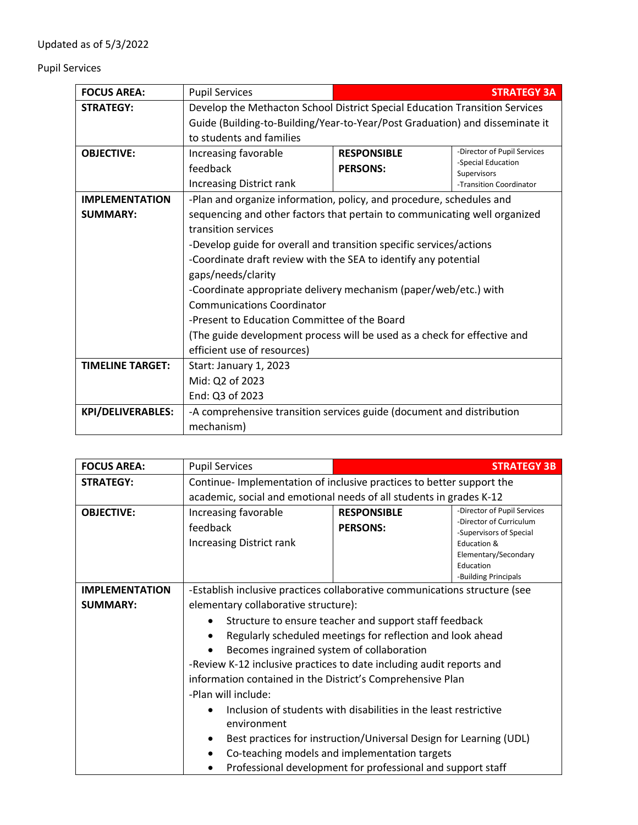## Pupil Services

| <b>FOCUS AREA:</b>       | <b>Pupil Services</b>                                                        |                                                                             | <b>STRATEGY 3A</b>                |
|--------------------------|------------------------------------------------------------------------------|-----------------------------------------------------------------------------|-----------------------------------|
| <b>STRATEGY:</b>         |                                                                              | Develop the Methacton School District Special Education Transition Services |                                   |
|                          | Guide (Building-to-Building/Year-to-Year/Post Graduation) and disseminate it |                                                                             |                                   |
|                          | to students and families                                                     |                                                                             |                                   |
| <b>OBJECTIVE:</b>        | Increasing favorable                                                         | <b>RESPONSIBLE</b>                                                          | -Director of Pupil Services       |
|                          | feedback                                                                     | <b>PERSONS:</b>                                                             | -Special Education<br>Supervisors |
|                          | <b>Increasing District rank</b>                                              |                                                                             | -Transition Coordinator           |
| <b>IMPLEMENTATION</b>    | -Plan and organize information, policy, and procedure, schedules and         |                                                                             |                                   |
| <b>SUMMARY:</b>          | sequencing and other factors that pertain to communicating well organized    |                                                                             |                                   |
|                          | transition services                                                          |                                                                             |                                   |
|                          | -Develop guide for overall and transition specific services/actions          |                                                                             |                                   |
|                          | -Coordinate draft review with the SEA to identify any potential              |                                                                             |                                   |
|                          | gaps/needs/clarity                                                           |                                                                             |                                   |
|                          | -Coordinate appropriate delivery mechanism (paper/web/etc.) with             |                                                                             |                                   |
|                          | <b>Communications Coordinator</b>                                            |                                                                             |                                   |
|                          | -Present to Education Committee of the Board                                 |                                                                             |                                   |
|                          | (The guide development process will be used as a check for effective and     |                                                                             |                                   |
|                          | efficient use of resources)                                                  |                                                                             |                                   |
| <b>TIMELINE TARGET:</b>  | Start: January 1, 2023                                                       |                                                                             |                                   |
|                          | Mid: Q2 of 2023                                                              |                                                                             |                                   |
|                          | End: Q3 of 2023                                                              |                                                                             |                                   |
| <b>KPI/DELIVERABLES:</b> | -A comprehensive transition services guide (document and distribution        |                                                                             |                                   |
|                          | mechanism)                                                                   |                                                                             |                                   |

| <b>FOCUS AREA:</b>    | <b>Pupil Services</b>                                                                                                                                                                                                                                                                                                          |                                                                                                                                                                                                                                                        | <b>STRATEGY 3B</b>                                                                                                                                            |
|-----------------------|--------------------------------------------------------------------------------------------------------------------------------------------------------------------------------------------------------------------------------------------------------------------------------------------------------------------------------|--------------------------------------------------------------------------------------------------------------------------------------------------------------------------------------------------------------------------------------------------------|---------------------------------------------------------------------------------------------------------------------------------------------------------------|
| <b>STRATEGY:</b>      | Continue- Implementation of inclusive practices to better support the                                                                                                                                                                                                                                                          |                                                                                                                                                                                                                                                        |                                                                                                                                                               |
|                       | academic, social and emotional needs of all students in grades K-12                                                                                                                                                                                                                                                            |                                                                                                                                                                                                                                                        |                                                                                                                                                               |
| <b>OBJECTIVE:</b>     | Increasing favorable<br>feedback<br><b>Increasing District rank</b>                                                                                                                                                                                                                                                            | <b>RESPONSIBLE</b><br><b>PERSONS:</b>                                                                                                                                                                                                                  | -Director of Pupil Services<br>-Director of Curriculum<br>-Supervisors of Special<br>Education &<br>Elementary/Secondary<br>Education<br>-Building Principals |
| <b>IMPLEMENTATION</b> | -Establish inclusive practices collaborative communications structure (see                                                                                                                                                                                                                                                     |                                                                                                                                                                                                                                                        |                                                                                                                                                               |
| <b>SUMMARY:</b>       | elementary collaborative structure):                                                                                                                                                                                                                                                                                           |                                                                                                                                                                                                                                                        |                                                                                                                                                               |
|                       | Structure to ensure teacher and support staff feedback<br>Regularly scheduled meetings for reflection and look ahead<br>Becomes ingrained system of collaboration<br>-Review K-12 inclusive practices to date including audit reports and<br>information contained in the District's Comprehensive Plan<br>-Plan will include: |                                                                                                                                                                                                                                                        |                                                                                                                                                               |
|                       | environment                                                                                                                                                                                                                                                                                                                    | Inclusion of students with disabilities in the least restrictive<br>Best practices for instruction/Universal Design for Learning (UDL)<br>Co-teaching models and implementation targets<br>Professional development for professional and support staff |                                                                                                                                                               |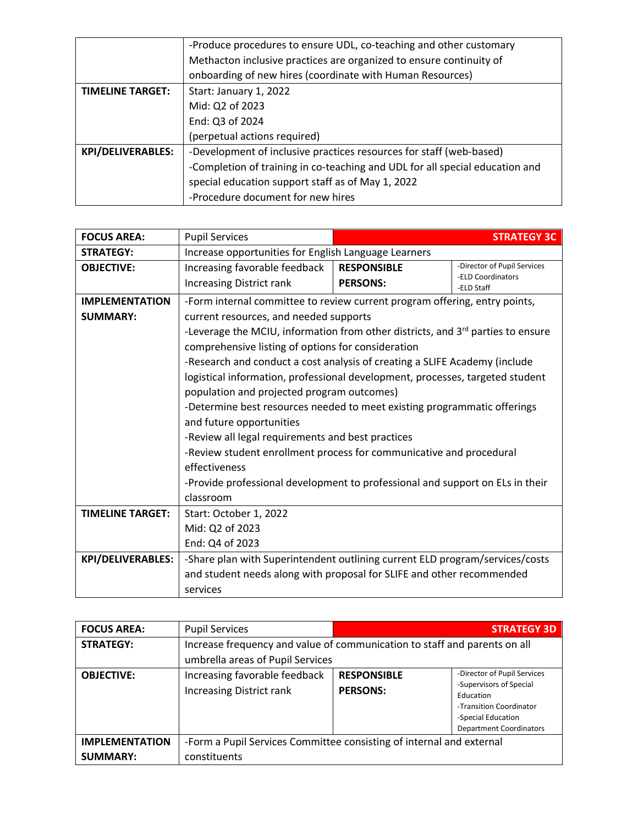|                          | -Produce procedures to ensure UDL, co-teaching and other customary           |  |  |
|--------------------------|------------------------------------------------------------------------------|--|--|
|                          | Methacton inclusive practices are organized to ensure continuity of          |  |  |
|                          | onboarding of new hires (coordinate with Human Resources)                    |  |  |
| <b>TIMELINE TARGET:</b>  | Start: January 1, 2022                                                       |  |  |
|                          | Mid: Q2 of 2023                                                              |  |  |
|                          | End: Q3 of 2024                                                              |  |  |
|                          | (perpetual actions required)                                                 |  |  |
| <b>KPI/DELIVERABLES:</b> | -Development of inclusive practices resources for staff (web-based)          |  |  |
|                          | -Completion of training in co-teaching and UDL for all special education and |  |  |
|                          | special education support staff as of May 1, 2022                            |  |  |
|                          | -Procedure document for new hires                                            |  |  |

| <b>FOCUS AREA:</b>       | <b>Pupil Services</b>                                                                       | <b>STRATEGY 3C</b> |                                                  |
|--------------------------|---------------------------------------------------------------------------------------------|--------------------|--------------------------------------------------|
| <b>STRATEGY:</b>         | Increase opportunities for English Language Learners                                        |                    |                                                  |
| <b>OBJECTIVE:</b>        | Increasing favorable feedback                                                               | <b>RESPONSIBLE</b> | -Director of Pupil Services<br>-ELD Coordinators |
|                          | <b>Increasing District rank</b>                                                             | <b>PERSONS:</b>    | -ELD Staff                                       |
| <b>IMPLEMENTATION</b>    | -Form internal committee to review current program offering, entry points,                  |                    |                                                  |
| <b>SUMMARY:</b>          | current resources, and needed supports                                                      |                    |                                                  |
|                          | -Leverage the MCIU, information from other districts, and 3 <sup>rd</sup> parties to ensure |                    |                                                  |
|                          | comprehensive listing of options for consideration                                          |                    |                                                  |
|                          | -Research and conduct a cost analysis of creating a SLIFE Academy (include                  |                    |                                                  |
|                          | logistical information, professional development, processes, targeted student               |                    |                                                  |
|                          | population and projected program outcomes)                                                  |                    |                                                  |
|                          | -Determine best resources needed to meet existing programmatic offerings                    |                    |                                                  |
|                          | and future opportunities                                                                    |                    |                                                  |
|                          | -Review all legal requirements and best practices                                           |                    |                                                  |
|                          | -Review student enrollment process for communicative and procedural                         |                    |                                                  |
|                          | effectiveness                                                                               |                    |                                                  |
|                          | -Provide professional development to professional and support on ELs in their               |                    |                                                  |
|                          | classroom                                                                                   |                    |                                                  |
| <b>TIMELINE TARGET:</b>  | Start: October 1, 2022                                                                      |                    |                                                  |
|                          | Mid: Q2 of 2023                                                                             |                    |                                                  |
|                          | End: Q4 of 2023                                                                             |                    |                                                  |
| <b>KPI/DELIVERABLES:</b> | -Share plan with Superintendent outlining current ELD program/services/costs                |                    |                                                  |
|                          | and student needs along with proposal for SLIFE and other recommended                       |                    |                                                  |
|                          | services                                                                                    |                    |                                                  |

| <b>FOCUS AREA:</b>    | <b>Pupil Services</b>                                                                                         |                                       | <b>STRATEGY 3D</b>                                                                                                                                     |
|-----------------------|---------------------------------------------------------------------------------------------------------------|---------------------------------------|--------------------------------------------------------------------------------------------------------------------------------------------------------|
| <b>STRATEGY:</b>      | Increase frequency and value of communication to staff and parents on all<br>umbrella areas of Pupil Services |                                       |                                                                                                                                                        |
| <b>OBJECTIVE:</b>     | Increasing favorable feedback<br><b>Increasing District rank</b>                                              | <b>RESPONSIBLE</b><br><b>PERSONS:</b> | -Director of Pupil Services<br>-Supervisors of Special<br>Education<br>-Transition Coordinator<br>-Special Education<br><b>Department Coordinators</b> |
| <b>IMPLEMENTATION</b> | -Form a Pupil Services Committee consisting of internal and external                                          |                                       |                                                                                                                                                        |
| <b>SUMMARY:</b>       | constituents                                                                                                  |                                       |                                                                                                                                                        |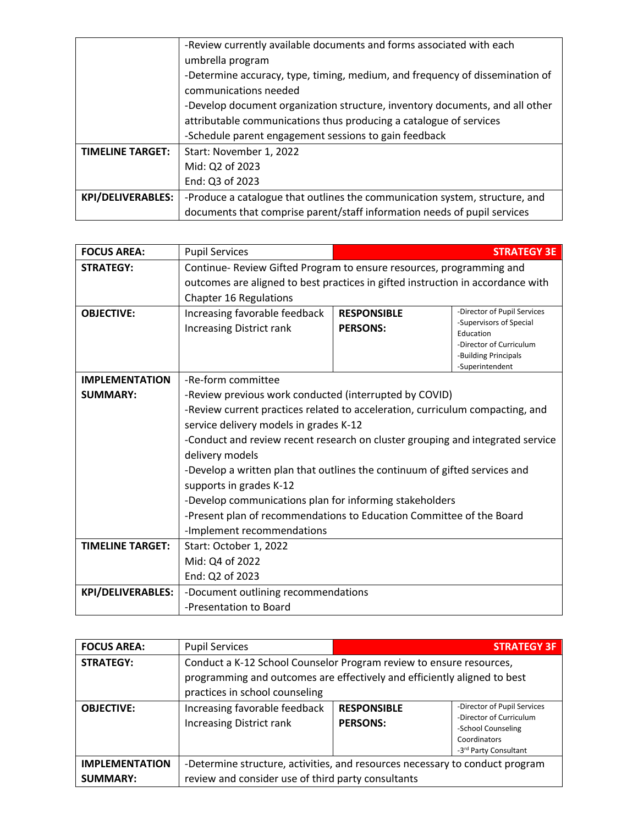|                          | -Review currently available documents and forms associated with each<br>umbrella program |  |  |
|--------------------------|------------------------------------------------------------------------------------------|--|--|
|                          | -Determine accuracy, type, timing, medium, and frequency of dissemination of             |  |  |
|                          | communications needed                                                                    |  |  |
|                          | -Develop document organization structure, inventory documents, and all other             |  |  |
|                          | attributable communications thus producing a catalogue of services                       |  |  |
|                          | -Schedule parent engagement sessions to gain feedback                                    |  |  |
| <b>TIMELINE TARGET:</b>  | Start: November 1, 2022                                                                  |  |  |
|                          | Mid: Q2 of 2023                                                                          |  |  |
|                          | End: Q3 of 2023                                                                          |  |  |
| <b>KPI/DELIVERABLES:</b> | -Produce a catalogue that outlines the communication system, structure, and              |  |  |
|                          | documents that comprise parent/staff information needs of pupil services                 |  |  |

| <b>FOCUS AREA:</b>       | <b>Pupil Services</b>                                                           |                                       | <b>STRATEGY 3E</b>                                                                                                     |
|--------------------------|---------------------------------------------------------------------------------|---------------------------------------|------------------------------------------------------------------------------------------------------------------------|
| <b>STRATEGY:</b>         | Continue- Review Gifted Program to ensure resources, programming and            |                                       |                                                                                                                        |
|                          | outcomes are aligned to best practices in gifted instruction in accordance with |                                       |                                                                                                                        |
|                          | <b>Chapter 16 Regulations</b>                                                   |                                       |                                                                                                                        |
| <b>OBJECTIVE:</b>        | Increasing favorable feedback<br><b>Increasing District rank</b>                | <b>RESPONSIBLE</b><br><b>PERSONS:</b> | -Director of Pupil Services<br>-Supervisors of Special<br>Education<br>-Director of Curriculum<br>-Building Principals |
|                          |                                                                                 |                                       | -Superintendent                                                                                                        |
| <b>IMPLEMENTATION</b>    | -Re-form committee                                                              |                                       |                                                                                                                        |
| <b>SUMMARY:</b>          | -Review previous work conducted (interrupted by COVID)                          |                                       |                                                                                                                        |
|                          | -Review current practices related to acceleration, curriculum compacting, and   |                                       |                                                                                                                        |
|                          | service delivery models in grades K-12                                          |                                       |                                                                                                                        |
|                          | -Conduct and review recent research on cluster grouping and integrated service  |                                       |                                                                                                                        |
|                          | delivery models                                                                 |                                       |                                                                                                                        |
|                          | -Develop a written plan that outlines the continuum of gifted services and      |                                       |                                                                                                                        |
|                          | supports in grades K-12                                                         |                                       |                                                                                                                        |
|                          | -Develop communications plan for informing stakeholders                         |                                       |                                                                                                                        |
|                          | -Present plan of recommendations to Education Committee of the Board            |                                       |                                                                                                                        |
|                          | -Implement recommendations                                                      |                                       |                                                                                                                        |
| <b>TIMELINE TARGET:</b>  | Start: October 1, 2022                                                          |                                       |                                                                                                                        |
|                          | Mid: Q4 of 2022                                                                 |                                       |                                                                                                                        |
|                          | End: Q2 of 2023                                                                 |                                       |                                                                                                                        |
| <b>KPI/DELIVERABLES:</b> | -Document outlining recommendations                                             |                                       |                                                                                                                        |
|                          | -Presentation to Board                                                          |                                       |                                                                                                                        |

| <b>FOCUS AREA:</b>                       | <b>Pupil Services</b>                                                                                                                                                             |                                       | <b>STRATEGY 3F</b>                                                                                                    |
|------------------------------------------|-----------------------------------------------------------------------------------------------------------------------------------------------------------------------------------|---------------------------------------|-----------------------------------------------------------------------------------------------------------------------|
| <b>STRATEGY:</b>                         | Conduct a K-12 School Counselor Program review to ensure resources,<br>programming and outcomes are effectively and efficiently aligned to best<br>practices in school counseling |                                       |                                                                                                                       |
| <b>OBJECTIVE:</b>                        | Increasing favorable feedback<br><b>Increasing District rank</b>                                                                                                                  | <b>RESPONSIBLE</b><br><b>PERSONS:</b> | -Director of Pupil Services<br>-Director of Curriculum<br>-School Counseling<br>Coordinators<br>-3rd Party Consultant |
| <b>IMPLEMENTATION</b><br><b>SUMMARY:</b> | -Determine structure, activities, and resources necessary to conduct program<br>review and consider use of third party consultants                                                |                                       |                                                                                                                       |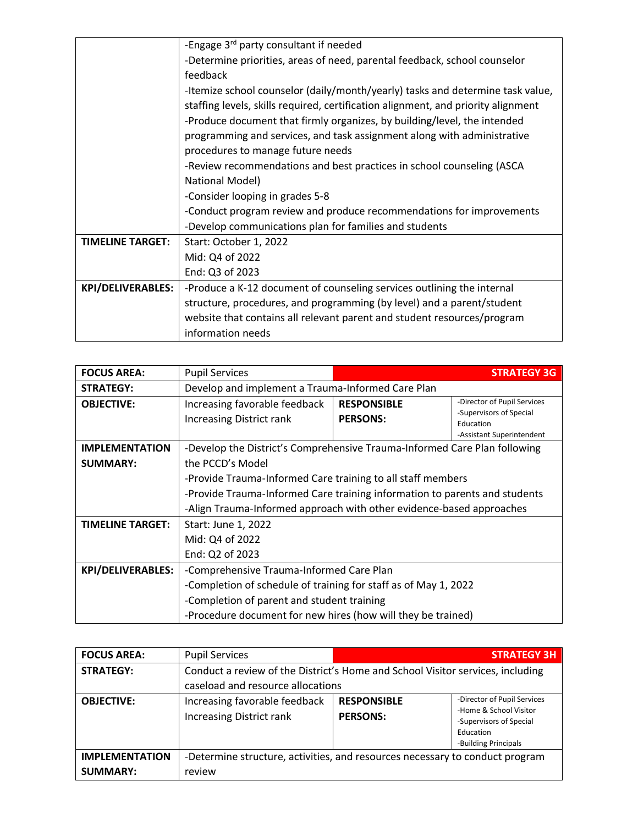|                          | -Engage 3rd party consultant if needed                                            |  |  |
|--------------------------|-----------------------------------------------------------------------------------|--|--|
|                          | -Determine priorities, areas of need, parental feedback, school counselor         |  |  |
|                          | feedback                                                                          |  |  |
|                          | -Itemize school counselor (daily/month/yearly) tasks and determine task value,    |  |  |
|                          | staffing levels, skills required, certification alignment, and priority alignment |  |  |
|                          | -Produce document that firmly organizes, by building/level, the intended          |  |  |
|                          | programming and services, and task assignment along with administrative           |  |  |
|                          | procedures to manage future needs                                                 |  |  |
|                          | -Review recommendations and best practices in school counseling (ASCA             |  |  |
|                          | National Model)                                                                   |  |  |
|                          | -Consider looping in grades 5-8                                                   |  |  |
|                          | -Conduct program review and produce recommendations for improvements              |  |  |
|                          | -Develop communications plan for families and students                            |  |  |
| <b>TIMELINE TARGET:</b>  | Start: October 1, 2022                                                            |  |  |
|                          | Mid: Q4 of 2022                                                                   |  |  |
|                          | End: Q3 of 2023                                                                   |  |  |
| <b>KPI/DELIVERABLES:</b> | -Produce a K-12 document of counseling services outlining the internal            |  |  |
|                          | structure, procedures, and programming (by level) and a parent/student            |  |  |
|                          | website that contains all relevant parent and student resources/program           |  |  |
|                          | information needs                                                                 |  |  |

| <b>FOCUS AREA:</b>                       | <b>Pupil Services</b>                                                                                                                                                                                                     |                                       | <b>STRATEGY 3G</b>                                                  |
|------------------------------------------|---------------------------------------------------------------------------------------------------------------------------------------------------------------------------------------------------------------------------|---------------------------------------|---------------------------------------------------------------------|
| <b>STRATEGY:</b>                         | Develop and implement a Trauma-Informed Care Plan                                                                                                                                                                         |                                       |                                                                     |
| <b>OBJECTIVE:</b>                        | Increasing favorable feedback<br><b>Increasing District rank</b>                                                                                                                                                          | <b>RESPONSIBLE</b><br><b>PERSONS:</b> | -Director of Pupil Services<br>-Supervisors of Special<br>Education |
| <b>IMPLEMENTATION</b><br><b>SUMMARY:</b> | -Assistant Superintendent<br>-Develop the District's Comprehensive Trauma-Informed Care Plan following<br>the PCCD's Model                                                                                                |                                       |                                                                     |
|                                          | -Provide Trauma-Informed Care training to all staff members<br>-Provide Trauma-Informed Care training information to parents and students<br>-Align Trauma-Informed approach with other evidence-based approaches         |                                       |                                                                     |
| <b>TIMELINE TARGET:</b>                  | Start: June 1, 2022<br>Mid: Q4 of 2022<br>End: Q2 of 2023                                                                                                                                                                 |                                       |                                                                     |
| <b>KPI/DELIVERABLES:</b>                 | -Comprehensive Trauma-Informed Care Plan<br>-Completion of schedule of training for staff as of May 1, 2022<br>-Completion of parent and student training<br>-Procedure document for new hires (how will they be trained) |                                       |                                                                     |

| <b>FOCUS AREA:</b>                       | <b>Pupil Services</b>                                                                                               |                                       | <b>STRATEGY 3H</b>                                                                                                    |
|------------------------------------------|---------------------------------------------------------------------------------------------------------------------|---------------------------------------|-----------------------------------------------------------------------------------------------------------------------|
| <b>STRATEGY:</b>                         | Conduct a review of the District's Home and School Visitor services, including<br>caseload and resource allocations |                                       |                                                                                                                       |
| <b>OBJECTIVE:</b>                        | Increasing favorable feedback<br><b>Increasing District rank</b>                                                    | <b>RESPONSIBLE</b><br><b>PERSONS:</b> | -Director of Pupil Services<br>-Home & School Visitor<br>-Supervisors of Special<br>Education<br>-Building Principals |
| <b>IMPLEMENTATION</b><br><b>SUMMARY:</b> | -Determine structure, activities, and resources necessary to conduct program<br>review                              |                                       |                                                                                                                       |